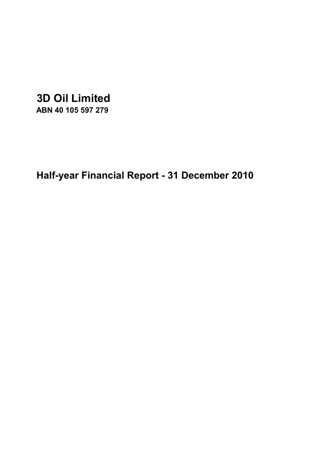# **3D Oil Limited**

**ABN 40 105 597 279**

**Half-year Financial Report - 31 December 2010**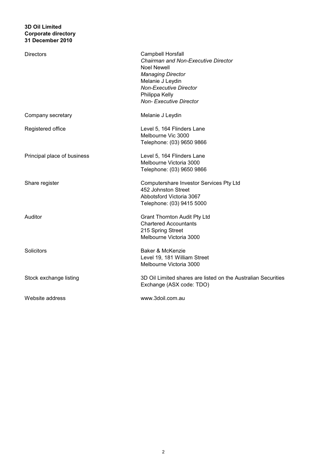| <b>Directors</b>            | Campbell Horsfall<br>Chairman and Non-Executive Director<br><b>Noel Newell</b><br><b>Managing Director</b><br>Melanie J Leydin<br><b>Non-Executive Director</b><br>Philippa Kelly<br><b>Non-Executive Director</b> |
|-----------------------------|--------------------------------------------------------------------------------------------------------------------------------------------------------------------------------------------------------------------|
| Company secretary           | Melanie J Leydin                                                                                                                                                                                                   |
| Registered office           | Level 5, 164 Flinders Lane<br>Melbourne Vic 3000<br>Telephone: (03) 9650 9866                                                                                                                                      |
| Principal place of business | Level 5, 164 Flinders Lane<br>Melbourne Victoria 3000<br>Telephone: (03) 9650 9866                                                                                                                                 |
| Share register              | Computershare Investor Services Pty Ltd<br>452 Johnston Street<br>Abbotsford Victoria 3067<br>Telephone: (03) 9415 5000                                                                                            |
| Auditor                     | <b>Grant Thornton Audit Pty Ltd</b><br><b>Chartered Accountants</b><br>215 Spring Street<br>Melbourne Victoria 3000                                                                                                |
| Solicitors                  | Baker & McKenzie<br>Level 19, 181 William Street<br>Melbourne Victoria 3000                                                                                                                                        |
| Stock exchange listing      | 3D Oil Limited shares are listed on the Australian Securities<br>Exchange (ASX code: TDO)                                                                                                                          |
| Website address             | www.3doil.com.au                                                                                                                                                                                                   |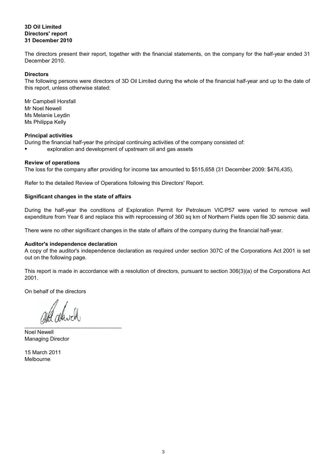## **31 December 2010 3D Oil Limited Directors' report**

The directors present their report, together with the financial statements, on the company for the half-year ended 31 December 2010.

#### **Directors**

The following persons were directors of 3D Oil Limited during the whole of the financial half-year and up to the date of this report, unless otherwise stated:

Mr Noel Newell Mr Campbell Horsfall Ms Melanie Leydin Ms Philippa Kelly

#### **Principal activities**

During the financial half-year the principal continuing activities of the company consisted of:

● exploration and development of upstream oil and gas assets

## **Review of operations**

The loss for the company after providing for income tax amounted to \$515,658 (31 December 2009: \$476,435).

Refer to the detailed Review of Operations following this Directors' Report.

## **Significant changes in the state of affairs**

During the half-year the conditions of Exploration Permit for Petroleum VIC/P57 were varied to remove well expenditure from Year 6 and replace this with reprocessing of 360 sq km of Northern Fields open file 3D seismic data.

There were no other significant changes in the state of affairs of the company during the financial half-year.

#### **Auditor's independence declaration**

A copy of the auditor's independence declaration as required under section 307C of the Corporations Act 2001 is set out on the following page.

This report is made in accordance with a resolution of directors, pursuant to section 306(3)(a) of the Corporations Act 2001.

On behalf of the directors

 $\overline{\phantom{a}}$ 

Managing Director Noel Newell

Melbourne 15 March 2011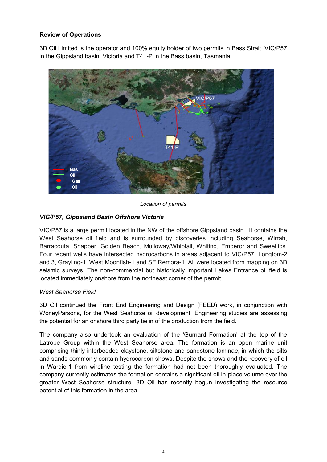# **Review of Operations**

3D Oil Limited is the operator and 100% equity holder of two permits in Bass Strait, VIC/P57 in the Gippsland basin, Victoria and T41-P in the Bass basin, Tasmania.



*Location of permits*

# *VIC/P57, Gippsland Basin Offshore Victoria*

VIC/P57 is a large permit located in the NW of the offshore Gippsland basin. It contains the West Seahorse oil field and is surrounded by discoveries including Seahorse, Wirrah, Barracouta, Snapper, Golden Beach, Mulloway/Whiptail, Whiting, Emperor and Sweetlips. Four recent wells have intersected hydrocarbons in areas adjacent to VIC/P57: Longtom-2 and 3, Grayling-1, West Moonfish-1 and SE Remora-1. All were located from mapping on 3D seismic surveys. The non-commercial but historically important Lakes Entrance oil field is located immediately onshore from the northeast corner of the permit.

# *West Seahorse Field*

3D Oil continued the Front End Engineering and Design (FEED) work, in conjunction with WorleyParsons, for the West Seahorse oil development. Engineering studies are assessing the potential for an onshore third party tie in of the production from the field.

The company also undertook an evaluation of the 'Gurnard Formation' at the top of the Latrobe Group within the West Seahorse area. The formation is an open marine unit comprising thinly interbedded claystone, siltstone and sandstone laminae, in which the silts and sands commonly contain hydrocarbon shows. Despite the shows and the recovery of oil in Wardie-1 from wireline testing the formation had not been thoroughly evaluated. The company currently estimates the formation contains a significant oil in-place volume over the greater West Seahorse structure. 3D Oil has recently begun investigating the resource potential of this formation in the area.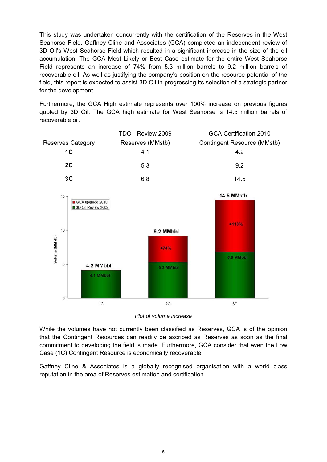This study was undertaken concurrently with the certification of the Reserves in the West Seahorse Field. Gaffney Cline and Associates (GCA) completed an independent review of 3D Oil's West Seahorse Field which resulted in a significant increase in the size of the oil accumulation. The GCA Most Likely or Best Case estimate for the entire West Seahorse Field represents an increase of 74% from 5.3 million barrels to 9.2 million barrels of recoverable oil. As well as justifying the company's position on the resource potential of the field, this report is expected to assist 3D Oil in progressing its selection of a strategic partner for the development.

Furthermore, the GCA High estimate represents over 100% increase on previous figures quoted by 3D Oil. The GCA high estimate for West Seahorse is 14.5 million barrels of recoverable oil.



*Plot of volume increase*

While the volumes have not currently been classified as Reserves, GCA is of the opinion that the Contingent Resources can readily be ascribed as Reserves as soon as the final commitment to developing the field is made. Furthermore, GCA consider that even the Low Case (1C) Contingent Resource is economically recoverable.

Gaffney Cline & Associates is a globally recognised organisation with a world class reputation in the area of Reserves estimation and certification.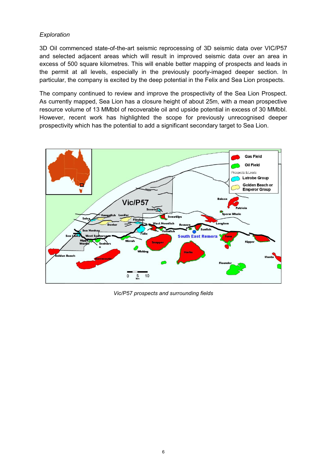# *Exploration*

3D Oil commenced state-of-the-art seismic reprocessing of 3D seismic data over VIC/P57 and selected adjacent areas which will result in improved seismic data over an area in excess of 500 square kilometres. This will enable better mapping of prospects and leads in the permit at all levels, especially in the previously poorly-imaged deeper section. In particular, the company is excited by the deep potential in the Felix and Sea Lion prospects.

The company continued to review and improve the prospectivity of the Sea Lion Prospect. As currently mapped, Sea Lion has a closure height of about 25m, with a mean prospective resource volume of 13 MMbbl of recoverable oil and upside potential in excess of 30 MMbbl. However, recent work has highlighted the scope for previously unrecognised deeper prospectivity which has the potential to add a significant secondary target to Sea Lion.



*Vic/P57 prospects and surrounding fields*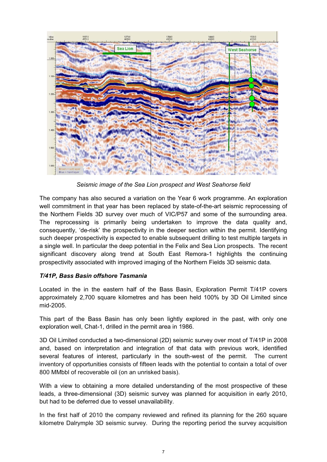

*Seismic image of the Sea Lion prospect and West Seahorse field* 

The company has also secured a variation on the Year 6 work programme. An exploration well commitment in that year has been replaced by state-of-the-art seismic reprocessing of the Northern Fields 3D survey over much of VIC/P57 and some of the surrounding area. The reprocessing is primarily being undertaken to improve the data quality and, consequently, 'de-risk' the prospectivity in the deeper section within the permit. Identifying such deeper prospectivity is expected to enable subsequent drilling to test multiple targets in a single well. In particular the deep potential in the Felix and Sea Lion prospects. The recent significant discovery along trend at South East Remora-1 highlights the continuing prospectivity associated with improved imaging of the Northern Fields 3D seismic data.

# *T/41P, Bass Basin offshore Tasmania*

Located in the in the eastern half of the Bass Basin, Exploration Permit T/41P covers approximately 2,700 square kilometres and has been held 100% by 3D Oil Limited since mid-2005.

This part of the Bass Basin has only been lightly explored in the past, with only one exploration well, Chat-1, drilled in the permit area in 1986.

3D Oil Limited conducted a two-dimensional (2D) seismic survey over most of T/41P in 2008 and, based on interpretation and integration of that data with previous work, identified several features of interest, particularly in the south-west of the permit. The current inventory of opportunities consists of fifteen leads with the potential to contain a total of over 800 MMbbl of recoverable oil (on an unrisked basis).

With a view to obtaining a more detailed understanding of the most prospective of these leads, a three-dimensional (3D) seismic survey was planned for acquisition in early 2010, but had to be deferred due to vessel unavailability.

In the first half of 2010 the company reviewed and refined its planning for the 260 square kilometre Dalrymple 3D seismic survey. During the reporting period the survey acquisition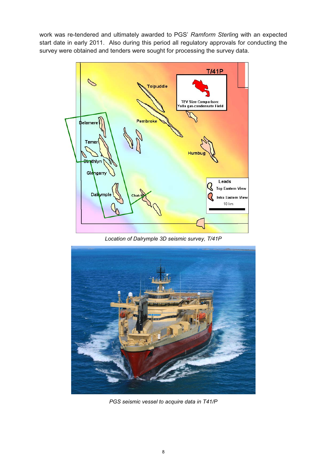work was re-tendered and ultimately awarded to PGS' *Ramform Sterlin*g with an expected start date in early 2011. Also during this period all regulatory approvals for conducting the survey were obtained and tenders were sought for processing the survey data.



*Location of Dalrymple 3D seismic survey, T/41P*



*PGS seismic vessel to acquire data in T41/P*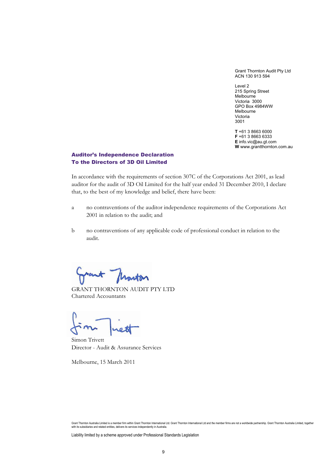Grant Thornton Audit Pty Ltd ACN 130 913 594

Level 2 215 Spring Street Melbourne Victoria 3000 GPO Box 4984WW Melbourne Victoria 3001

**T** +61 3 8663 6000 **F** +61 3 8663 6333 **E** info.vic@au.gt.com **W** www.grantthornton.com.au

# Auditor's Independence Declaration To the Directors of 3D Oil Limited

In accordance with the requirements of section 307C of the Corporations Act 2001, as lead auditor for the audit of 3D Oil Limited for the half year ended 31 December 2010, I declare that, to the best of my knowledge and belief, there have been:

- a no contraventions of the auditor independence requirements of the Corporations Act 2001 in relation to the audit; and
- b no contraventions of any applicable code of professional conduct in relation to the audit.

ant flowton

GRANT THORNTON AUDIT PTY LTD Chartered Accountants

Simon Trivett Director - Audit & Assurance Services

Melbourne, 15 March 2011

Liability limited by a scheme approved under Professional Standards Legislation

Grant Thornton Australia Limited is a member firm within Grant Thornton International Ltd. Grant Thornton International Ltd and the member firms are not a worldwide partnership. Grant Thornton Australia Limited, together with its subsidiaries and related entities, delivers its services independently in Australia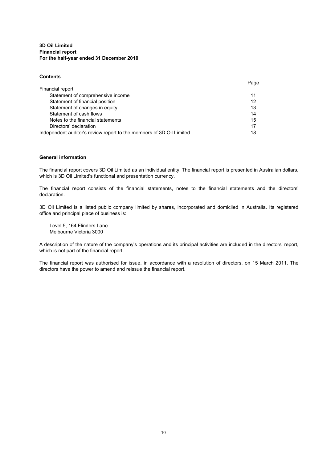#### **3D Oil Limited For the half-year ended 31 December 2010 Financial report**

#### **Contents**

|                                                                      | Page |
|----------------------------------------------------------------------|------|
| Financial report                                                     |      |
| Statement of comprehensive income                                    | 11   |
| Statement of financial position                                      | 12   |
| Statement of changes in equity                                       | 13   |
| Statement of cash flows                                              | 14   |
| Notes to the financial statements                                    | 15   |
| Directors' declaration                                               | 17   |
| Independent auditor's review report to the members of 3D Oil Limited | 18   |

#### **General information**

The financial report covers 3D Oil Limited as an individual entity. The financial report is presented in Australian dollars, which is 3D Oil Limited's functional and presentation currency.

The financial report consists of the financial statements, notes to the financial statements and the directors' declaration.

3D Oil Limited is a listed public company limited by shares, incorporated and domiciled in Australia. Its registered office and principal place of business is:

Level 5, 164 Flinders Lane Melbourne Victoria 3000

A description of the nature of the company's operations and its principal activities are included in the directors' report, which is not part of the financial report.

The financial report was authorised for issue, in accordance with a resolution of directors, on 15 March 2011. The directors have the power to amend and reissue the financial report.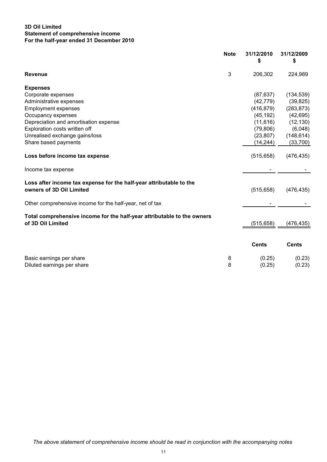# **3D Oil Limited For the half-year ended 31 December 2010 Statement of comprehensive income**

|                                                                                                 | <b>Note</b> | 31/12/2010<br>\$ | 31/12/2009<br>\$ |
|-------------------------------------------------------------------------------------------------|-------------|------------------|------------------|
| <b>Revenue</b>                                                                                  | 3           | 206,302          | 224,989          |
| <b>Expenses</b>                                                                                 |             |                  |                  |
| Corporate expenses                                                                              |             | (87, 637)        | (134, 539)       |
| Administrative expenses                                                                         |             | (42, 779)        | (39, 825)        |
| <b>Employment expenses</b>                                                                      |             | (416, 879)       | (283, 873)       |
| Occupancy expenses                                                                              |             | (45, 192)        | (42, 695)        |
| Depreciation and amortisation expense                                                           |             | (11, 616)        | (12, 130)        |
| Exploration costs written off                                                                   |             | (79, 806)        | (6,048)          |
| Unrealised exchange gains/loss                                                                  |             | (23, 807)        | (148, 614)       |
| Share based payments                                                                            |             | (14, 244)        | (33,700)         |
| Loss before income tax expense                                                                  |             | (515, 658)       | (476, 435)       |
| Income tax expense                                                                              |             |                  |                  |
| Loss after income tax expense for the half-year attributable to the<br>owners of 3D Oil Limited |             | (515, 658)       | (476, 435)       |
| Other comprehensive income for the half-year, net of tax                                        |             |                  |                  |
| Total comprehensive income for the half-year attributable to the owners<br>of 3D Oil Limited    |             | (515, 658)       | (476,435)        |
|                                                                                                 |             | <b>Cents</b>     | <b>Cents</b>     |
|                                                                                                 |             |                  |                  |
| Basic earnings per share<br>Diluted earnings per share                                          | 8<br>8      | (0.25)<br>(0.25) | (0.23)<br>(0.23) |
|                                                                                                 |             |                  |                  |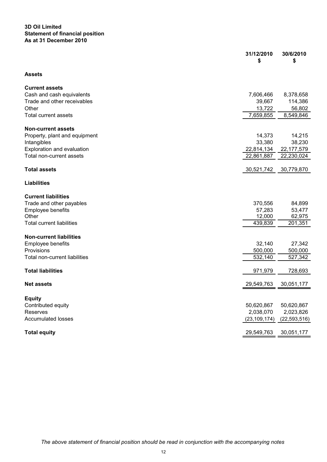## **3D Oil Limited Statement of financial position As at 31 December 2010**

|                                  | 31/12/2010<br>\$ | 30/6/2010<br>\$ |
|----------------------------------|------------------|-----------------|
| <b>Assets</b>                    |                  |                 |
| <b>Current assets</b>            |                  |                 |
| Cash and cash equivalents        | 7,606,466        | 8,378,658       |
| Trade and other receivables      | 39,667           | 114,386         |
| Other                            | 13,722           | 56,802          |
| <b>Total current assets</b>      | 7,659,855        | 8,549,846       |
| <b>Non-current assets</b>        |                  |                 |
| Property, plant and equipment    | 14,373           | 14,215          |
| Intangibles                      | 33,380           | 38,230          |
| Exploration and evaluation       | 22,814,134       | 22, 177, 579    |
| Total non-current assets         | 22,861,887       | 22,230,024      |
| <b>Total assets</b>              | 30,521,742       | 30,779,870      |
| <b>Liabilities</b>               |                  |                 |
| <b>Current liabilities</b>       |                  |                 |
| Trade and other payables         | 370,556          | 84,899          |
| Employee benefits                | 57,283           | 53,477          |
| Other                            | 12,000           | 62,975          |
| <b>Total current liabilities</b> | 439,839          | 201,351         |
| <b>Non-current liabilities</b>   |                  |                 |
| Employee benefits                | 32,140           | 27,342          |
| Provisions                       | 500,000          | 500,000         |
| Total non-current liabilities    | 532,140          | 527,342         |
| <b>Total liabilities</b>         | 971,979          | 728,693         |
|                                  |                  |                 |
| <b>Net assets</b>                | 29,549,763       | 30,051,177      |
| <b>Equity</b>                    |                  |                 |
| Contributed equity               | 50,620,867       | 50,620,867      |
| Reserves                         | 2,038,070        | 2,023,826       |
| <b>Accumulated losses</b>        | (23, 109, 174)   | (22, 593, 516)  |
| <b>Total equity</b>              | 29,549,763       | 30,051,177      |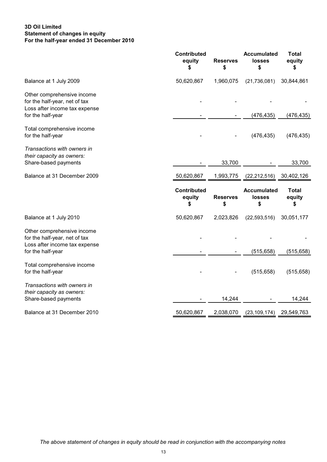# **3D Oil Limited For the half-year ended 31 December 2010 Statement of changes in equity**

|                                                                                                                   | <b>Contributed</b><br>equity<br>\$ | <b>Reserves</b><br>\$ | <b>Accumulated</b><br><b>losses</b><br>\$ | <b>Total</b><br>equity<br>\$ |
|-------------------------------------------------------------------------------------------------------------------|------------------------------------|-----------------------|-------------------------------------------|------------------------------|
| Balance at 1 July 2009                                                                                            | 50,620,867                         | 1,960,075             | (21, 736, 081)                            | 30,844,861                   |
| Other comprehensive income<br>for the half-year, net of tax<br>Loss after income tax expense<br>for the half-year |                                    |                       | (476, 435)                                | (476, 435)                   |
| Total comprehensive income<br>for the half-year                                                                   |                                    |                       | (476, 435)                                | (476, 435)                   |
| Transactions with owners in<br>their capacity as owners:<br>Share-based payments                                  |                                    | 33,700                |                                           | 33,700                       |
| Balance at 31 December 2009                                                                                       | 50,620,867                         | 1,993,775             | (22,212,516)                              | 30,402,126                   |
|                                                                                                                   |                                    |                       |                                           |                              |
|                                                                                                                   | <b>Contributed</b><br>equity<br>\$ | <b>Reserves</b><br>\$ | <b>Accumulated</b><br><b>losses</b><br>\$ | Total<br>equity<br>\$        |
| Balance at 1 July 2010                                                                                            | 50,620,867                         | 2,023,826             | (22, 593, 516)                            | 30,051,177                   |
| Other comprehensive income<br>for the half-year, net of tax<br>Loss after income tax expense                      |                                    |                       |                                           |                              |
| for the half-year<br>Total comprehensive income<br>for the half-year                                              |                                    |                       | (515, 658)<br>(515, 658)                  | (515, 658)<br>(515, 658)     |
| Transactions with owners in<br>their capacity as owners:<br>Share-based payments                                  |                                    | 14,244                |                                           | 14,244                       |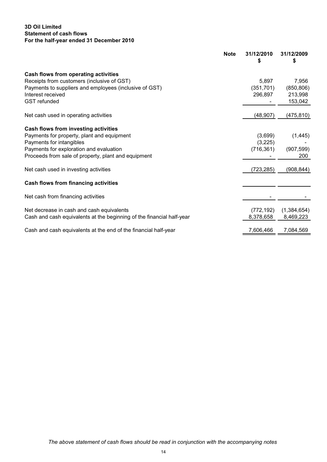# **3D Oil Limited For the half-year ended 31 December 2010 Statement of cash flows**

| <b>Note</b>                                                           | 31/12/2010<br>\$ | 31/12/2009<br>\$ |
|-----------------------------------------------------------------------|------------------|------------------|
| Cash flows from operating activities                                  |                  |                  |
| Receipts from customers (inclusive of GST)                            | 5,897            | 7,956            |
| Payments to suppliers and employees (inclusive of GST)                | (351, 701)       | (850, 806)       |
| Interest received                                                     | 296,897          | 213,998          |
| <b>GST</b> refunded                                                   |                  | 153,042          |
| Net cash used in operating activities                                 | (48,907)         | (475, 810)       |
|                                                                       |                  |                  |
| Cash flows from investing activities                                  |                  |                  |
| Payments for property, plant and equipment                            | (3,699)          | (1, 445)         |
| Payments for intangibles                                              | (3,225)          |                  |
| Payments for exploration and evaluation                               | (716, 361)       | (907, 599)       |
| Proceeds from sale of property, plant and equipment                   |                  | 200              |
| Net cash used in investing activities                                 | (723, 285)       | (908, 844)       |
| <b>Cash flows from financing activities</b>                           |                  |                  |
| Net cash from financing activities                                    |                  |                  |
| Net decrease in cash and cash equivalents                             | (772, 192)       | (1,384,654)      |
| Cash and cash equivalents at the beginning of the financial half-year | 8,378,658        | 8,469,223        |
| Cash and cash equivalents at the end of the financial half-year       | 7,606,466        | 7,084,569        |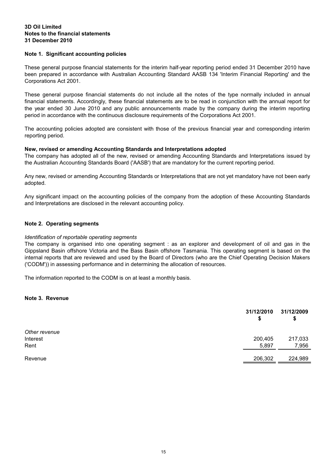#### **Notes to the financial statements 31 December 2010 3D Oil Limited**

## **Note 1. Significant accounting policies**

These general purpose financial statements for the interim half-year reporting period ended 31 December 2010 have been prepared in accordance with Australian Accounting Standard AASB 134 'Interim Financial Reporting' and the Corporations Act 2001.

These general purpose financial statements do not include all the notes of the type normally included in annual financial statements. Accordingly, these financial statements are to be read in conjunction with the annual report for the year ended 30 June 2010 and any public announcements made by the company during the interim reporting period in accordance with the continuous disclosure requirements of the Corporations Act 2001.

The accounting policies adopted are consistent with those of the previous financial year and corresponding interim reporting period.

## **New, revised or amending Accounting Standards and Interpretations adopted**

The company has adopted all of the new, revised or amending Accounting Standards and Interpretations issued by the Australian Accounting Standards Board ('AASB') that are mandatory for the current reporting period.

Any new, revised or amending Accounting Standards or Interpretations that are not yet mandatory have not been early adopted.

Any significant impact on the accounting policies of the company from the adoption of these Accounting Standards and Interpretations are disclosed in the relevant accounting policy.

## **Note 2. Operating segments**

## *Identification of reportable operating segments*

The company is organised into one operating segment : as an explorer and development of oil and gas in the Gippsland Basin offshore Victoria and the Bass Basin offshore Tasmania. This operating segment is based on the internal reports that are reviewed and used by the Board of Directors (who are the Chief Operating Decision Makers ('CODM')) in assessing performance and in determining the allocation of resources.

The information reported to the CODM is on at least a monthly basis.

#### **Note 3. Revenue**

|               | 31/12/2010<br>\$ | 31/12/2009<br>\$ |
|---------------|------------------|------------------|
| Other revenue |                  |                  |
| Interest      | 200,405          | 217,033          |
| Rent          | 5,897            | 7,956            |
| Revenue       | 206,302          | 224,989          |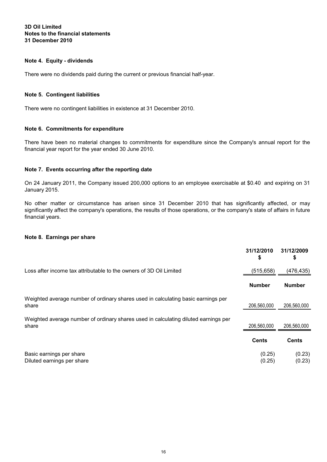## **Notes to the financial statements 31 December 2010 3D Oil Limited**

# **Note 4. Equity - dividends**

There were no dividends paid during the current or previous financial half-year.

## **Note 5. Contingent liabilities**

There were no contingent liabilities in existence at 31 December 2010.

# **Note 6. Commitments for expenditure**

There have been no material changes to commitments for expenditure since the Company's annual report for the financial year report for the year ended 30 June 2010.

## **Note 7. Events occurring after the reporting date**

On 24 January 2011, the Company issued 200,000 options to an employee exercisable at \$0.40 and expiring on 31 January 2015.

No other matter or circumstance has arisen since 31 December 2010 that has significantly affected, or may significantly affect the company's operations, the results of those operations, or the company's state of affairs in future financial years.

#### **Note 8. Earnings per share**

|                                                                                              | 31/12/2010<br>\$ | 31/12/2009<br>\$ |
|----------------------------------------------------------------------------------------------|------------------|------------------|
| Loss after income tax attributable to the owners of 3D Oil Limited                           | (515, 658)       | (476,435)        |
|                                                                                              | <b>Number</b>    | <b>Number</b>    |
| Weighted average number of ordinary shares used in calculating basic earnings per<br>share   | 206,560,000      | 206,560,000      |
| Weighted average number of ordinary shares used in calculating diluted earnings per<br>share | 206,560,000      | 206,560,000      |
|                                                                                              | <b>Cents</b>     | <b>Cents</b>     |
| Basic earnings per share<br>Diluted earnings per share                                       | (0.25)<br>(0.25) | (0.23)<br>(0.23) |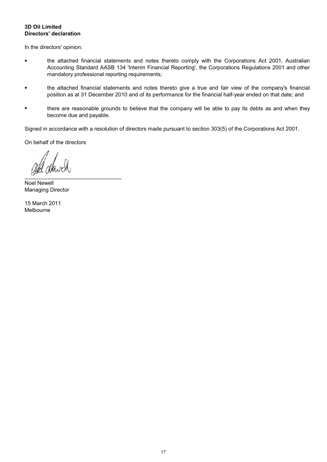# **Directors' declaration 3D Oil Limited**

In the directors' opinion:

- the attached financial statements and notes thereto comply with the Corporations Act 2001, Australian Accounting Standard AASB 134 'Interim Financial Reporting', the Corporations Regulations 2001 and other mandatory professional reporting requirements;
- the attached financial statements and notes thereto give a true and fair view of the company's financial position as at 31 December 2010 and of its performance for the financial half-year ended on that date; and
- there are reasonable grounds to believe that the company will be able to pay its debts as and when they become due and payable.

Signed in accordance with a resolution of directors made pursuant to section 303(5) of the Corporations Act 2001.

On behalf of the directors

 $\mathcal{L}$  . The set of the set of the set of the set of the set of the set of the set of the set of the set of the set of the set of the set of the set of the set of the set of the set of the set of the set of the set of t

Noel Newell Managing Director

Melbourne 15 March 2011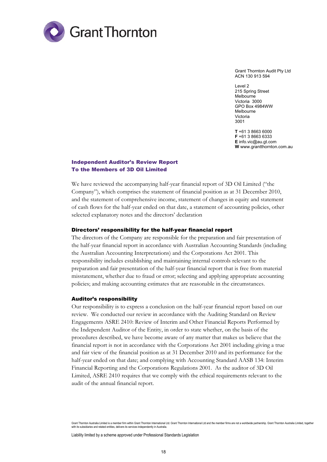

Grant Thornton Audit Pty Ltd ACN 130 913 594

Level 2 215 Spring Street Melbourne Victoria 3000 GPO Box 4984WW Melbourne Victoria 3001

**T** +61 3 8663 6000 **F** +61 3 8663 6333 **E** info.vic@au.gt.com **W** www.grantthornton.com.au

# Independent Auditor's Review Report To the Members of 3D Oil Limited

We have reviewed the accompanying half-year financial report of 3D Oil Limited ("the Company"), which comprises the statement of financial position as at 31 December 2010, and the statement of comprehensive income, statement of changes in equity and statement of cash flows for the half-year ended on that date, a statement of accounting policies, other selected explanatory notes and the directors' declaration

#### Directors' responsibility for the half-year financial report

The directors of the Company are responsible for the preparation and fair presentation of the half-year financial report in accordance with Australian Accounting Standards (including the Australian Accounting Interpretations) and the Corporations Act 2001. This responsibility includes establishing and maintaining internal controls relevant to the preparation and fair presentation of the half-year financial report that is free from material misstatement, whether due to fraud or error; selecting and applying appropriate accounting policies; and making accounting estimates that are reasonable in the circumstances.

#### Auditor's responsibility

Our responsibility is to express a conclusion on the half-year financial report based on our review. We conducted our review in accordance with the Auditing Standard on Review Engagements ASRE 2410: Review of Interim and Other Financial Reports Performed by the Independent Auditor of the Entity, in order to state whether, on the basis of the procedures described, we have become aware of any matter that makes us believe that the financial report is not in accordance with the Corporations Act 2001 including giving a true and fair view of the financial position as at 31 December 2010 and its performance for the half-year ended on that date; and complying with Accounting Standard AASB 134: Interim Financial Reporting and the Corporations Regulations 2001. As the auditor of 3D Oil Limited, ASRE 2410 requires that we comply with the ethical requirements relevant to the audit of the annual financial report.

Grant Thornton Australia Limited is a member firm within Grant Thornton International Ltd. Grant Thornton International Ltd and the member firms are not a worldwide partnership. Grant Thornton Australia Limited, together with its subsidiaries and related entities, delivers its services independently in Australia

Liability limited by a scheme approved under Professional Standards Legislation